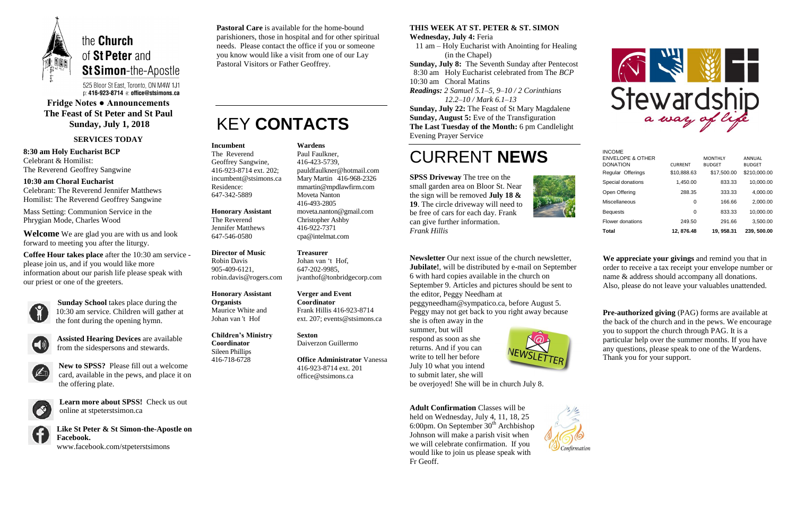

525 Bloor St East, Toronto, ON M4W 1J1 p: 416-923-8714 e: office@stsimons.ca

### **Fridge Notes ● Announcements The Feast of St Peter and St Paul Sunday, July 1, 2018**

#### **SERVICES TODAY**

**8:30 am Holy Eucharist BCP** Celebrant & Homilist: The Reverend Geoffrey Sangwine

**10:30 am Choral Eucharist** Celebrant: The Reverend Jennifer Matthews Homilist: The Reverend Geoffrey Sangwine

Mass Setting: Communion Service in the Phrygian Mode, Charles Wood

**Welcome** We are glad you are with us and look forward to meeting you after the liturgy.

> **Learn more about SPSS!** Check us out online at stpeterstsimon.ca



**Coffee Hour takes place** after the 10:30 am service please join us, and if you would like more information about our parish life please speak with our priest or one of the greeters.



**Sunday School** takes place during the 10:30 am service. Children will gather at the font during the opening hymn.



**Assisted Hearing Devices** are available from the sidespersons and stewards.



**New to SPSS?** Please fill out a welcome card, available in the pews, and place it on the offering plate.



**Like St Peter & St Simon-the-Apostle on Facebook.** 

www.facebook.com/stpeterstsimons

**Pastoral Care** is available for the home-bound parishioners, those in hospital and for other spiritual needs. Please contact the office if you or someone you know would like a visit from one of our Lay Pastoral Visitors or Father Geoffrey.

## KEY **CONTACTS**

### **THIS WEEK AT ST. PETER & ST. SIMON**

**Wednesday, July 4:** Feria

 11 am – Holy Eucharist with Anointing for Healing (in the Chapel)

**Sunday, July 8:** The Seventh Sunday after Pentecost 8:30 am Holy Eucharist celebrated from The *BCP* 10:30 am Choral Matins *Readings: 2 Samuel 5.1–5, 9–10 / 2 Corinthians 12.2–10 / Mark 6.1–13*

**Sunday, July 22:** The Feast of St Mary Magdalene **Sunday, August 5:** Eve of the Transfiguration **The Last Tuesday of the Month:** 6 pm Candlelight Evening Prayer Service

## CURRENT **NEWS**

**SPSS Driveway** The tree on the small garden area on Bloor St. Near the sign will be removed **July 18 & 19**. The circle driveway will need to be free of cars for each day. Frank can give further information. *Frank Hillis*



**Newsletter** Our next issue of the church newsletter, **Jubilate!**, will be distributed by e-mail on September 6 with hard copies available in the church on September 9. Articles and pictures should be sent to the editor, Peggy Needham at

peggyneedham@sympatico.ca, before August 5. Peggy may not get back to you right away because she is often away in the

summer, but will respond as soon as she returns. And if you can write to tell her before July 10 what you intend to submit later, she will



be overjoyed! She will be in church July 8.

**Adult Confirmation** Classes will be held on Wednesday, July 4, 11, 18, 25 6:00pm. On September  $30<sup>th</sup>$  Archbishop Johnson will make a parish visit when we will celebrate confirmation. If you would like to join us please speak with Fr Geoff.





**We appreciate your givings** and remind you that in order to receive a tax receipt your envelope number or name & address should accompany all donations. Also, please do not leave your valuables unattended.

**Pre-authorized giving** (PAG) forms are available at the back of the church and in the pews. We encourage you to support the church through PAG. It is a particular help over the summer months. If you have any questions, please speak to one of the Wardens. Thank you for your support.

#### **Incumbent**

The Reverend Geoffrey Sangwine, 416-923-8714 ext. 202; incumbent@stsimons.ca Residence: 647-342-5889

#### **Honorary Assistant** The Reverend

Jennifer Matthews 647-546-0580

**Director of Music**  Robin Davis 905-409-6121, robin.davis@rogers.com

**Honorary Assistant Organists**  Maurice White and Johan van 't Hof

**Children's Ministry Coordinator** Sileen Phillips 416-718-6728

**Wardens** 

Paul Faulkner, 416-423-5739, [pauldfaulkner@hotmail.com](mailto:pauldfaulkner@hotmail.com)  Mary Martin 416-968-2326 mmartin@mpdlawfirm.com Moveta Nanton 416-493-2805 moveta.nanton@gmail.com Christopher Ashby 416-922-7371 cpa@intelmat.com

**Treasurer**  Johan van 't Hof,

647-202-9985, jvanthof@tonbridgecorp.com

**Verger and Event Coordinator** Frank Hillis 416-923-8714 ext. 207; events@stsimons.ca

**Sexton** Daiverzon Guillermo

**Office Administrator** Vanessa 416-923-8714 ext. 201 office@stsimons.ca

| <b>INCOME</b><br><b>ENVELOPE &amp; OTHER</b><br><b>DONATION</b><br>Regular Offerings | <b>CURRENT</b><br>\$10.888.63 | <b>MONTHLY</b><br><b>BUDGET</b><br>\$17,500.00 | ANNUAL<br><b>BUDGET</b><br>\$210,000.00 |
|--------------------------------------------------------------------------------------|-------------------------------|------------------------------------------------|-----------------------------------------|
| Special donations                                                                    | 1.450.00                      | 833.33                                         | 10.000.00                               |
| Open Offering                                                                        | 288.35                        | 333.33                                         | 4,000.00                                |
| Miscellaneous                                                                        | 0                             | 166.66                                         | 2,000.00                                |
| <b>Bequests</b>                                                                      | 0                             | 833.33                                         | 10,000.00                               |
| Flower donations                                                                     | 249.50                        | 291.66                                         | 3.500.00                                |
| Total                                                                                | 12.876.48                     | 19.958.31                                      | 239, 500.00                             |